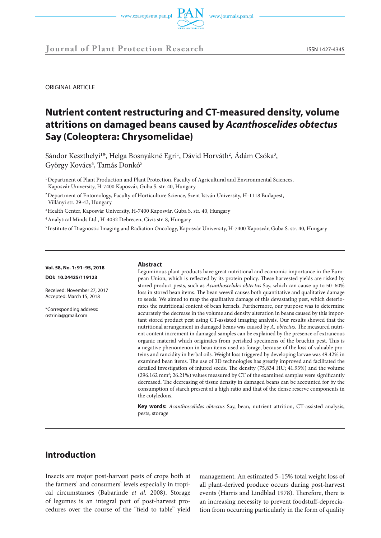



ORIGINAL ARTICLE

# **Nutrient content restructuring and CT-measured density, volume attritions on damaged beans caused by** *Acanthoscelides obtectus*  **Say (Coleoptera: Chrysomelidae)**

Sándor Keszthelyi<sup>1\*</sup>, Helga Bosnyákné Egri<sup>1</sup>, Dávid Horváth<sup>2</sup>, Ádám Csóka<sup>3</sup>, György Kovács<sup>4</sup>, Tamás Donkó<sup>5</sup>

<sup>1</sup> Department of Plant Production and Plant Protection, Faculty of Agricultural and Environmental Sciences, Kaposvár University, H-7400 Kaposvár, Guba S. str. 40, Hungary

2 Department of Entomology, Faculty of Horticulture Science, Szent István University, H-1118 Budapest, Villányi str. 29-43, Hungary

<sup>3</sup> Health Center, Kaposvár University, H-7400 Kaposvár, Guba S. str. 40, Hungary

4 Analytical Minds Ltd., H-4032 Debrecen, Civis str. 8, Hungary

5 Institute of Diagnostic Imaging and Radiation Oncology, Kaposvár University, H-7400 Kaposvár, Guba S. str. 40, Hungary

#### **Vol. 58, No. 1: 91–95, 2018**

**DOI: 10.24425/119123**

Received: November 27, 2017 Accepted: March 15, 2018

\*Corresponding address: ostrinia@gmail.com

#### **Abstract**

Leguminous plant products have great nutritional and economic importance in the European Union, which is reflected by its protein policy. These harvested yields are risked by stored product pests, such as *Acanthoscelides obtectus* Say, which can cause up to 50–60% loss in stored bean items. The bean weevil causes both quantitative and qualitative damage to seeds. We aimed to map the qualitative damage of this devastating pest, which deteriorates the nutritional content of bean kernels. Furthermore, our purpose was to determine accurately the decrease in the volume and density alteration in beans caused by this important stored product pest using CT-assisted imaging analysis. Our results showed that the nutritional arrangement in damaged beans was caused by *A. obtectus*. The measured nutrient content increment in damaged samples can be explained by the presence of extraneous organic material which originates from perished specimens of the bruchin pest. This is a negative phenomenon in bean items used as forage, because of the loss of valuable proteins and rancidity in herbal oils. Weight loss triggered by developing larvae was 49.42% in examined bean items. The use of 3D technologies has greatly improved and facilitated the detailed investigation of injured seeds. The density (75,834 HU; 41.93%) and the volume (296.162 mm<sup>3</sup>; 26.21%) values measured by CT of the examined samples were significantly decreased. The decreasing of tissue density in damaged beans can be accounted for by the consumption of starch present at a high ratio and that of the dense reserve components in the cotyledons.

**Key words:** *Acanthoscelides obtectus* Say, bean, nutrient attrition, CT-assisted analysis, pests, storage

## **Introduction**

Insects are major post-harvest pests of crops both at the farmers' and consumers' levels especially in tropical circumstanses (Babarinde *et al.* 2008). Storage of legumes is an integral part of post-harvest procedures over the course of the "field to table" yield

management. An estimated 5–15% total weight loss of all plant-derived produce occurs during post-harvest events (Harris and Lindblad 1978). Therefore, there is an increasing necessity to prevent foodstuff-depreciation from occurring particularly in the form of quality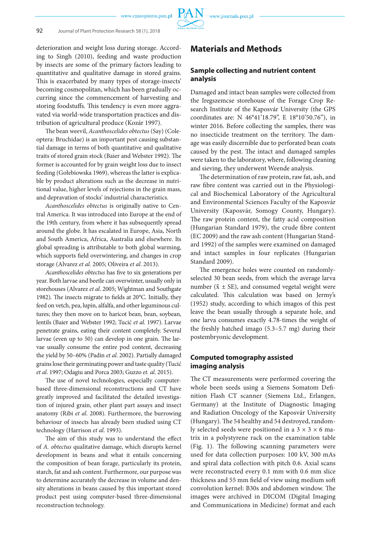deterioration and weight loss during storage. According to Singh (2010), feeding and waste production by insects are some of the primary factors leading to quantitative and qualitative damage in stored grains. This is exacerbated by many types of storage-insects' becoming cosmopolitan, which has been gradually occurring since the commencement of harvesting and storing foodstuffs. This tendency is even more aggravated via world-wide transportation practices and distribution of agricultural produce (Kozár 1997).

The bean weevil, *Acanthoscelides obtectus* (Say) (Coleoptera: Bruchidae) is an important pest causing substantial damage in terms of both quantitative and qualitative traits of stored grain stock (Baier and Webster 1992). The former is accounted for by grain weight loss due to insect feeding (Gołebiowska 1969), whereas the latter is explicable by product alterations such as the decrease in nutritional value, higher levels of rejections in the grain mass, and depravation of stocks' industrial characteristics.

*Acanthoscelides obtectus* is originally native to Central America. It was introduced into Europe at the end of the 19th century, from where it has subsequently spread around the globe. It has escalated in Europe, Asia, North and South America, Africa, Australia and elsewhere. Its global spreading is attributable to both global warming, which supports field overwintering, and changes in crop storage (Alvarez *et al.* 2005; Oliveira *et al*. 2013).

*Acanthoscelides obtectus* has five to six generations per year. Both larvae and beetle can overwinter, usually only in storehouses (Alvarez *et al*. 2005; Wightman and Southgate 1982). The insects migrate to fields at 20°C. Initially, they feed on vetch, pea, lupin, alfalfa, and other leguminous cultures; they then move on to haricot bean, bean, soybean, lentils (Baier and Webster 1992; Tucić *et al*. 1997). Larvae penetrate grains, eating their content completely. Several larvae (even up to 50) can develop in one grain. The larvae usually consume the entire pod content, decreasing the yield by 50–60% (Padin *et al*. 2002). Partially damaged grains lose their germinating power and taste quality (Tucić *et al*. 1997; Odagiu and Porca 2003; Guzzo *et. al*. 2015).

The use of novel technologies, especially computerbased three-dimensional reconstructions and CT have greatly improved and facilitated the detailed investigation of injured grain, other plant part assays and insect anatomy (Ribi *et al*. 2008). Furthermore, the burrowing behaviour of insects has already been studied using CT technology (Harrison *et al*. 1993).

The aim of this study was to understand the effect of *A. obtectus* qualitative damage, which disrupts kernel development in beans and what it entails concerning the composition of bean forage, particularly its protein, starch, fat and ash content. Furthermore, our purpose was to determine accurately the decrease in volume and density alterations in beans caused by this important stored product pest using computer-based three-dimensional reconstruction technology.

## **Materials and Methods**

### **Sample collecting and nutrient content analysis**

Damaged and intact bean samples were collected from the Iregszemcse storehouse of the Forage Crop Research Institute of the Kaposvár University (the GPS coordinates are: N 46°41'18.79", E 18°10'50.76"), in winter 2016. Before collecting the samples, there was no insecticide treatment on the territory. The damage was easily discernible due to perforated bean coats caused by the pest. The intact and damaged samples were taken to the laboratory, where, following cleaning and sieving, they underwent Weende analysis.

The determination of raw protein, raw fat, ash, and raw fibre content was carried out in the Physiological and Biochemical Laboratory of the Agricultural and Environmental Sciences Faculty of the Kaposvár University (Kaposvár, Somogy County, Hungary). The raw protein content, the fatty acid composition (Hungarian Standard 1979), the crude fibre content (EC 2009) and the raw ash content (Hungarian Standard 1992) of the samples were examined on damaged and intact samples in four replicates (Hungarian Standard 2009).

The emergence holes were counted on randomlyselected 30 bean seeds, from which the average larva number ( $\bar{x}$  ± SE), and consumed vegetal weight were calculated. This calculation was based on Jermy's (1952) study, according to which imagos of this pest leave the bean usually through a separate hole, and one larva consumes exactly 4.78-times the weight of the freshly hatched imago (5.3–5.7 mg) during their postembryonic development.

### **Computed tomography assisted imaging analysis**

The CT measurements were performed covering the whole been seeds using a Siemens Somatom Definition Flash CT scanner (Siemens Ltd., Erlangen, Germany) at the Institute of Diagnostic Imaging and Radiation Oncology of the Kaposvár University (Hungary). The 54 healthy and 54 destroyed, randomly selected seeds were positioned in a  $3 \times 3 \times 6$  matrix in a polystyrene rack on the examination table (Fig. 1). The following scanning parameters were used for data collection purposes: 100 kV, 300 mAs and spiral data collection with pitch 0.6. Axial scans were reconstructed every 0.1 mm with 0.6 mm slice thickness and 55 mm field of view using medium soft convolution kernel: B30s and abdomen window. The images were archived in DICOM (Digital Imaging and Communications in Medicine) format and each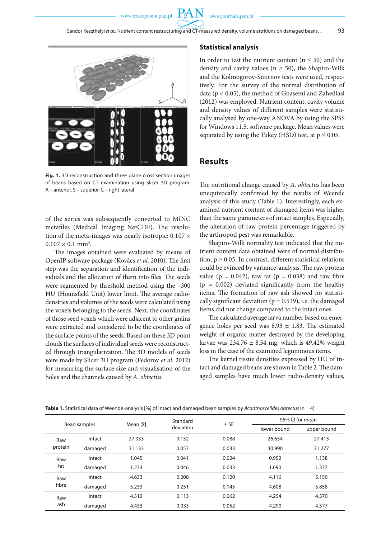

**Fig. 1.** 3D reconstruction and three plane cross section images of beans based on CT examination using Slicer 3D program. A – anterior, S – superior, C – right lateral

of the series was subsequently converted to MINC metafiles (Medical Imaging NetCDF). The resolution of the meta-images was nearly isotropic:  $0.107 \times$  $0.107 \times 0.1$  mm<sup>3</sup>.

The images obtained were evaluated by means of OpenIP software package (Kovács *et al*. 2010). The first step was the separation and identification of the individuals and the allocation of them into files. The seeds were segmented by threshold method using the –300 HU (Hounsfield Unit) lower limit. The average radiodensities and volumes of the seeds were calculated using the voxels belonging to the seeds. Next, the coordinates of those seed voxels which were adjacent to other grains were extracted and considered to be the coordinates of the surface points of the seeds. Based on these 3D point clouds the surfaces of individual seeds were reconstructed through triangularization. The 3D models of seeds were made by Slicer 3D program (Fedorov *et al.* 2012) for measuring the surface size and visualisation of the holes and the channels caused by *A. obtectus*.

#### **Statistical analysis**

In order to test the nutrient content ( $n \leq 50$ ) and the density and cavity values ( $n > 50$ ), the Shapiro-Wilk and the Kolmogorov-Smirnov tests were used, respectively. For the survey of the normal distribution of data (p < 0.05), the method of Ghasemi and Zahediasl (2012) was employed. Nutrient content, cavity volume and density values of different samples were statistically analysed by one-way ANOVA by using the SPSS for Windows 11.5. software package. Mean values were separated by using the Tukey (HSD) test, at  $p \le 0.05$ .

## **Results**

The nutritional change caused by *A. obtectus* has been unequivocally confirmed by the results of Weende analysis of this study (Table 1). Interestingly, each examined nutrient content of damaged items was higher than the same parameters of intact samples. Especially, the alteration of raw protein percentage triggered by the arthropod pest was remarkable.

Shapiro-Wilk normality test indicated that the nutrient content data obtained were of normal distribution,  $p > 0.05$ . In contrast, different statistical relations could be evinced by variance-analysis. The raw protein value ( $p = 0.042$ ), raw fat ( $p = 0.038$ ) and raw fibre  $(p = 0.002)$  deviated significantly from the healthy items. The formation of raw ash showed no statistically significant deviation ( $p = 0.519$ ), i.e. the damaged items did not change compared to the intact ones.

The calculated average larva number based on emergence holes per seed was  $8.93 \pm 1.83$ . The estimated weight of organic matter destroyed by the developing larvae was  $234.76 \pm 8.54$  mg, which is 49.42% weight loss in the case of the examined leguminous items.

The kernel tissue densities expressed by HU of intact and damaged beans are shown in Table 2. The damaged samples have much lower radio-density values,

| Bean samples   |         | Mean [x] | Standard<br>deviation | $±$ SE | 95% CI for mean |             |
|----------------|---------|----------|-----------------------|--------|-----------------|-------------|
|                |         |          |                       |        | lower bound     | upper bound |
| Raw<br>protein | intact  | 27.033   | 0.152                 | 0.088  | 26.654          | 27.413      |
|                | damaged | 31.133   | 0.057                 | 0.033  | 30.990          | 31.277      |
| Raw<br>fat     | intact  | 1.045    | 0.041                 | 0.024  | 0.952           | 1.138       |
|                | damaged | 1.233    | 0.046                 | 0.033  | 1.090           | 1.377       |
| Raw<br>fibre   | intact  | 4.633    | 0.208                 | 0.120  | 4.116           | 5.150       |
|                | damaged | 5.233    | 0.251                 | 0.145  | 4.608           | 5.858       |
| Raw<br>ash     | intact  | 4.312    | 0.113                 | 0.062  | 4.254           | 4.370       |
|                | damaged | 4.433    | 0.033                 | 0.052  | 4.290           | 4.577       |

**Table 1.** Statistical data of Weende-analysis [%] of intact and damaged bean samples by *Acanthoscelides obtectus* (n = 4)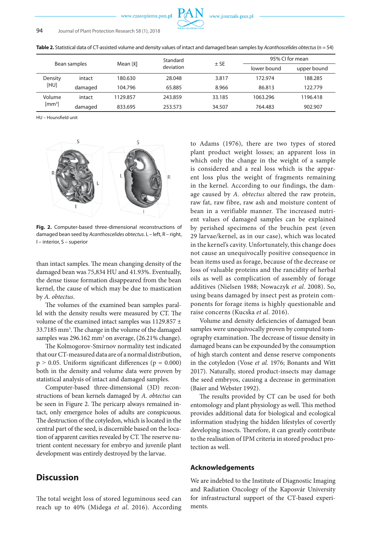

**Table 2.** Statistical data of CT-assisted volume and density values of intact and damaged bean samples by *Acanthoscelides obtectus* (n = 54)

| Bean samples                 |         | Mean [x̄] | Standard<br>deviation | $±$ SE | 95% CI for mean |             |
|------------------------------|---------|-----------|-----------------------|--------|-----------------|-------------|
|                              |         |           |                       |        | lower bound     | upper bound |
| Density<br>[HU]              | intact  | 180.630   | 28.048                | 3.817  | 172.974         | 188.285     |
|                              | damaged | 104.796   | 65.885                | 8.966  | 86.813          | 122.779     |
| Volume<br>[mm <sup>3</sup> ] | intact  | 1129.857  | 243.859               | 33.185 | 1063.296        | 1196.418    |
|                              | damaged | 833.695   | 253.573               | 34.507 | 764.483         | 902.907     |

HU – Hounsfield unit



**Fig. 2.** Computer-based three-dimensional reconstructions of damaged bean seed by *Acanthoscelides obtectus*. L – left, R – right, I – interior, S – superior

than intact samples. The mean changing density of the damaged bean was 75,834 HU and 41.93%. Eventually, the dense tissue formation disappeared from the bean kernel, the cause of which may be due to mastication by *A. obtectus*.

The volumes of the examined bean samples parallel with the density results were measured by CT. The volume of the examined intact samples was 1129.857 ± 33.7185 mm<sup>3</sup>. The change in the volume of the damaged samples was 296.162 mm<sup>3</sup> on average, (26.21% change).

The Kolmogorov-Smirnov normality test indicated that our CT-measured data are of a normal distribution,  $p > 0.05$ . Uniform significant differences ( $p = 0.000$ ) both in the density and volume data were proven by statistical analysis of intact and damaged samples.

Computer-based three-dimensional (3D) reconstructions of bean kernels damaged by *A. obtectus* can be seen in Figure 2. The pericarp always remained intact, only emergence holes of adults are conspicuous. The destruction of the cotyledon, which is located in the central part of the seed, is discernible based on the location of apparent cavities revealed by CT. The reserve nutrient content necessary for embryo and juvenile plant development was entirely destroyed by the larvae.

## **Discussion**

The total weight loss of stored leguminous seed can reach up to 40% (Midega *et al*. 2016). According to Adams (1976), there are two types of stored plant product weight losses; an apparent loss in which only the change in the weight of a sample is considered and a real loss which is the apparent loss plus the weight of fragments remaining in the kernel. According to our findings, the damage caused by *A. obtectus* altered the raw protein, raw fat, raw fibre, raw ash and moisture content of bean in a verifiable manner. The increased nutrient values of damaged samples can be explained by perished specimens of the bruchin pest (even 29 larvae/kernel, as in our case), which was located in the kernel's cavity. Unfortunately, this change does not cause an unequivocally positive consequence in bean items used as forage, because of the decrease or loss of valuable proteins and the rancidity of herbal oils as well as complication of assembly of forage additives (Nielsen 1988; Nowaczyk *et al.* 2008). So, using beans damaged by insect pest as protein components for forage items is highly questionable and raise concerns (Kucska *et al*. 2016).

Volume and density deficiencies of damaged bean samples were unequivocally proven by computed tomography examination. The decrease of tissue density in damaged beans can be expounded by the consumption of high starch content and dense reserve components in the cotyledon (Vose *et al*. 1976; Bonants and Witt 2017). Naturally, stored product-insects may damage the seed embryos, causing a decrease in germination (Baier and Webster 1992).

The results provided by CT can be used for both entomology and plant physiology as well. This method provides additional data for biological and ecological information studying the hidden lifestyles of covertly developing insects. Therefore, it can greatly contribute to the realisation of IPM criteria in stored product protection as well.

### **Acknowledgements**

We are indebted to the Institute of Diagnostic Imaging and Radiation Oncology of the Kaposvár University for infrastructural support of the CT-based experiments.